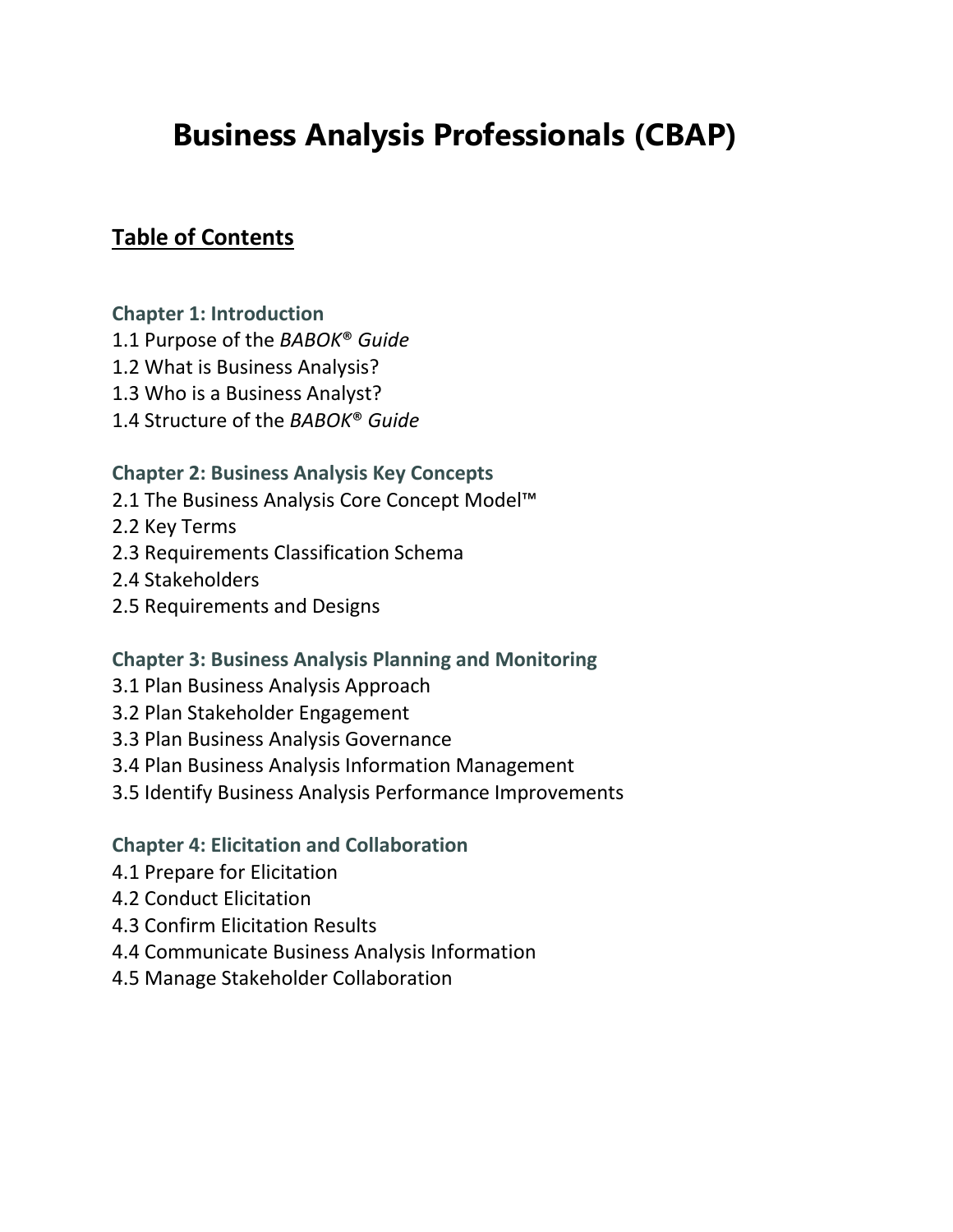# **Business Analysis Professionals (CBAP)**

# **Table of Contents**

#### **Chapter 1: Introduction**

- 1.1 Purpose of the *BABOK*® *Guide*
- 1.2 What is Business Analysis?
- 1.3 Who is a Business Analyst?
- 1.4 Structure of the *BABOK*® *Guide*

#### **Chapter 2: Business Analysis Key Concepts**

- 2.1 The Business Analysis Core Concept Model<sup>™</sup>
- 2.2 Key Terms
- 2.3 Requirements Classification Schema
- 2.4 Stakeholders
- 2.5 Requirements and Designs

#### **Chapter 3: Business Analysis Planning and Monitoring**

- 3.1 Plan Business Analysis Approach
- 3.2 Plan Stakeholder Engagement
- 3.3 Plan Business Analysis Governance
- 3.4 Plan Business Analysis Information Management
- 3.5 Identify Business Analysis Performance Improvements

#### **Chapter 4: Elicitation and Collaboration**

- 4.1 Prepare for Elicitation
- 4.2 Conduct Elicitation
- 4.3 Confirm Elicitation Results
- 4.4 Communicate Business Analysis Information
- 4.5 Manage Stakeholder Collaboration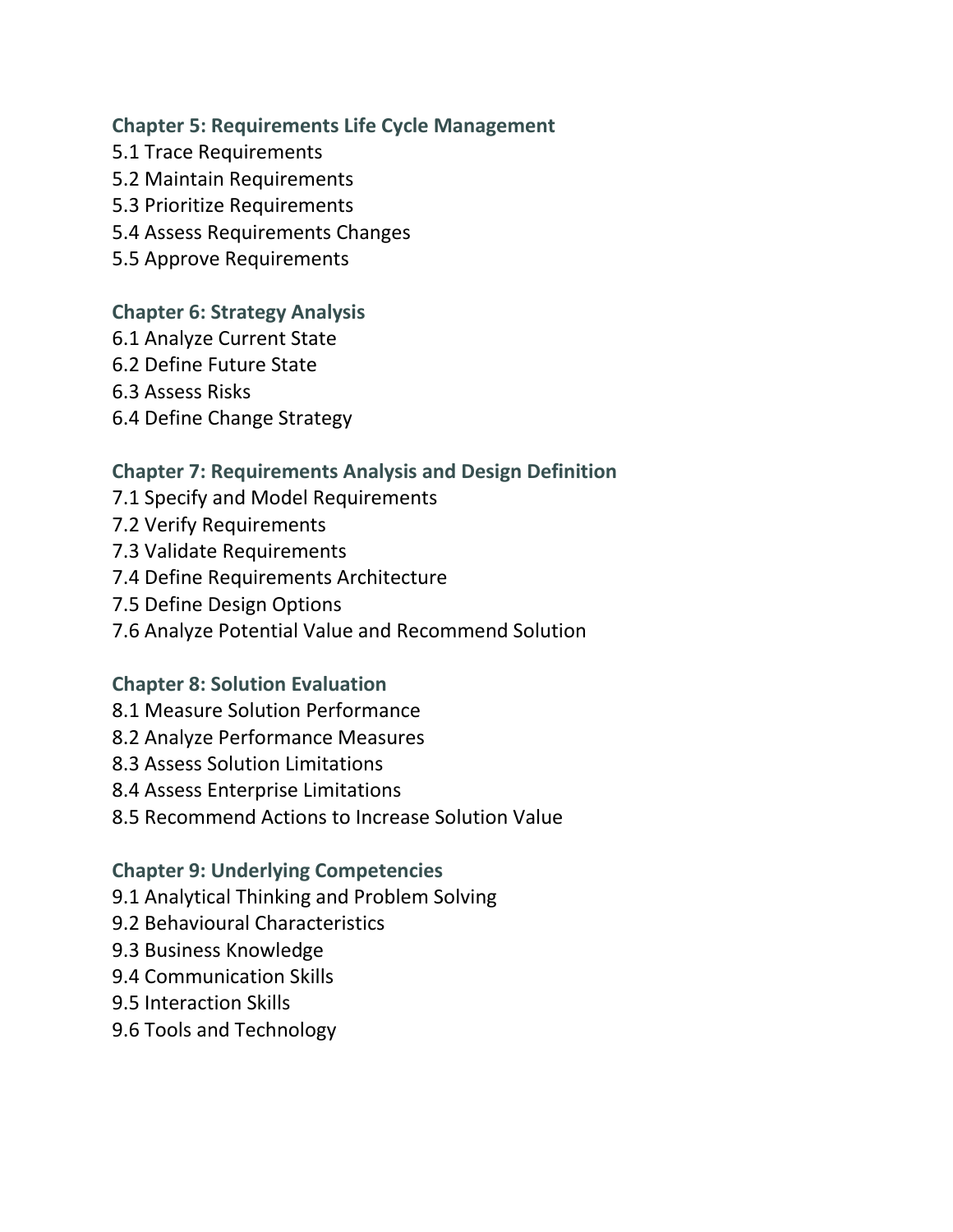#### **Chapter 5: Requirements Life Cycle Management**

- 5.1 Trace Requirements
- 5.2 Maintain Requirements
- 5.3 Prioritize Requirements
- 5.4 Assess Requirements Changes
- 5.5 Approve Requirements

## **Chapter 6: Strategy Analysis**

- 6.1 Analyze Current State
- 6.2 Define Future State
- 6.3 Assess Risks
- 6.4 Define Change Strategy

# **Chapter 7: Requirements Analysis and Design Definition**

- 7.1 Specify and Model Requirements
- 7.2 Verify Requirements
- 7.3 Validate Requirements
- 7.4 Define Requirements Architecture
- 7.5 Define Design Options
- 7.6 Analyze Potential Value and Recommend Solution

# **Chapter 8: Solution Evaluation**

- 8.1 Measure Solution Performance
- 8.2 Analyze Performance Measures
- 8.3 Assess Solution Limitations
- 8.4 Assess Enterprise Limitations
- 8.5 Recommend Actions to Increase Solution Value

# **Chapter 9: Underlying Competencies**

- 9.1 Analytical Thinking and Problem Solving
- 9.2 Behavioural Characteristics
- 9.3 Business Knowledge
- 9.4 Communication Skills
- 9.5 Interaction Skills
- 9.6 Tools and Technology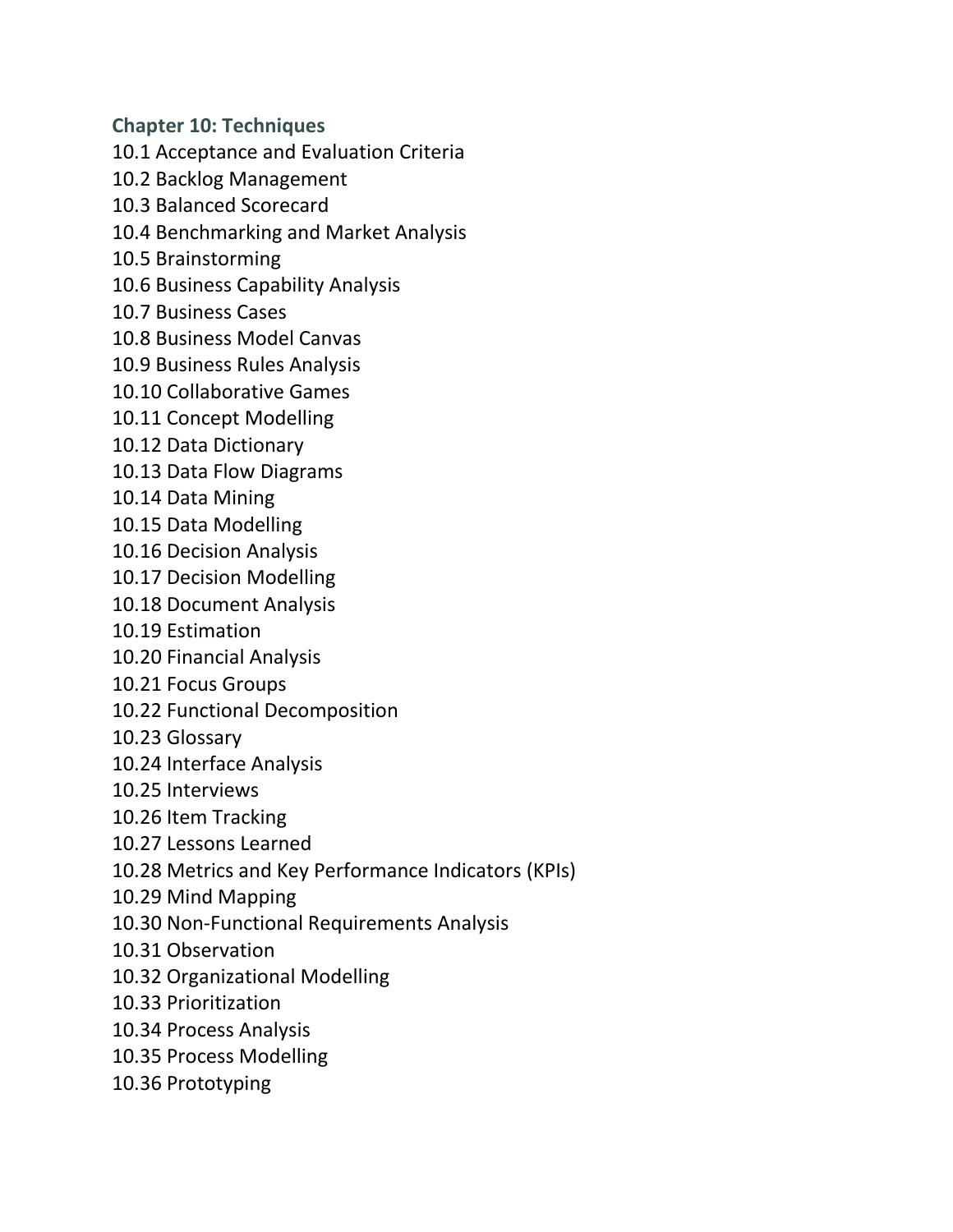**Chapter 10: Techniques** 10.1 Acceptance and Evaluation Criteria

- 10.2 Backlog Management
- 10.3 Balanced Scorecard
- 10.4 Benchmarking and Market Analysis
- 10.5 Brainstorming
- 10.6 Business Capability Analysis
- 10.7 Business Cases
- 10.8 Business Model Canvas
- 10.9 Business Rules Analysis
- 10.10 Collaborative Games
- 10.11 Concept Modelling
- 10.12 Data Dictionary
- 10.13 Data Flow Diagrams
- 10.14 Data Mining
- 10.15 Data Modelling
- 10.16 Decision Analysis
- 10.17 Decision Modelling
- 10.18 Document Analysis
- 10.19 Estimation
- 10.20 Financial Analysis
- 10.21 Focus Groups
- 10.22 Functional Decomposition
- 10.23 Glossary
- 10.24 Interface Analysis
- 10.25 Interviews
- 10.26 Item Tracking
- 10.27 Lessons Learned
- 10.28 Metrics and Key Performance Indicators (KPIs)
- 10.29 Mind Mapping
- 10.30 Non-Functional Requirements Analysis
- 10.31 Observation
- 10.32 Organizational Modelling
- 10.33 Prioritization
- 10.34 Process Analysis
- 10.35 Process Modelling
- 10.36 Prototyping